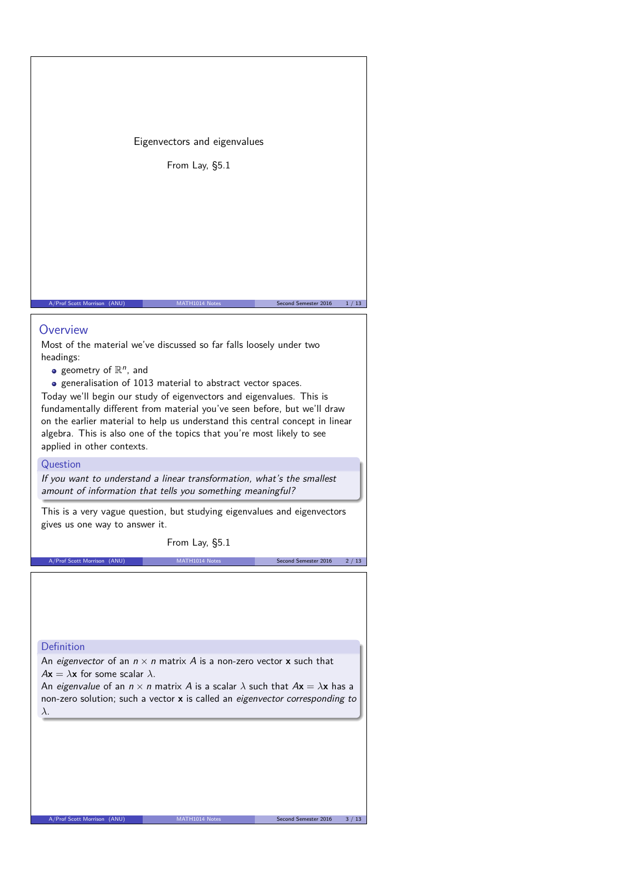Eigenvectors and eigenvalues

From Lay, §5.1

## **Overview**

Most of the material we've discussed so far falls loosely under two headings:

- geometry of  $\mathbb{R}^n$ , and
- generalisation of 1013 material to abstract vector spaces.

Today we'll begin our study of eigenvectors and eigenvalues. This is fundamentally different from material you've seen before, but we'll draw on the earlier material to help us understand this central concept in linear algebra. This is also one of the topics that you're most likely to see applied in other contexts.

A/Prof Scott Morrison (ANU) MATH1014 Notes Second Semester 2016 1/13

## Question

If you want to understand a linear transformation, what's the smallest amount of information that tells you something meaningful?

This is a very vague question, but studying eigenvalues and eigenvectors gives us one way to answer it.

From Lay, §5.1

A/Prof Scott Morrison (ANU) MATH1014 Notes Second Semester 2016 2/13

## Definition

An eigenvector of an  $n \times n$  matrix A is a non-zero vector **x** such that  $A$ **x** =  $\lambda$ **x** for some scalar  $\lambda$ .

An eigenvalue of an  $n \times n$  matrix A is a scalar  $\lambda$  such that  $A\mathbf{x} = \lambda \mathbf{x}$  has a non-zero solution; such a vector **x** is called an eigenvector corresponding to *λ*.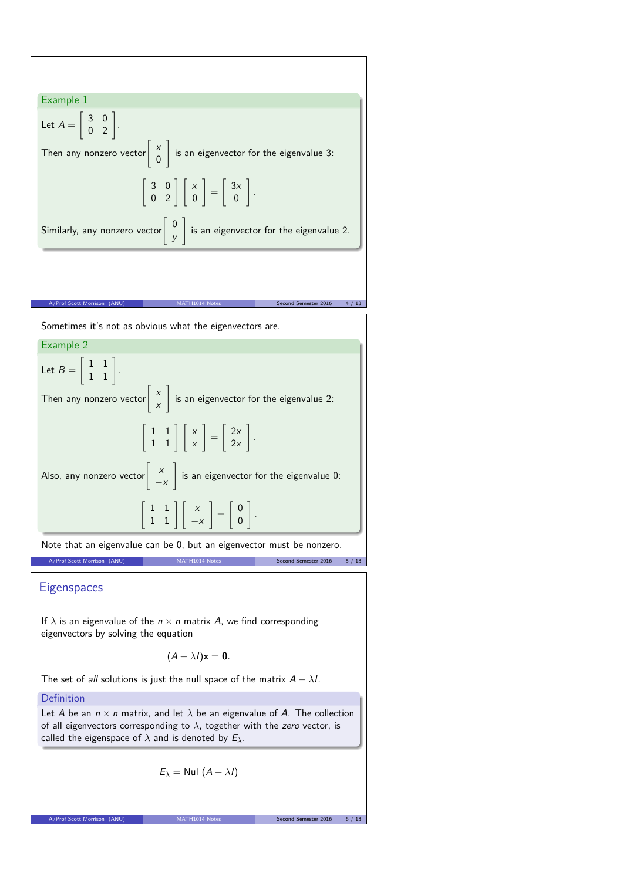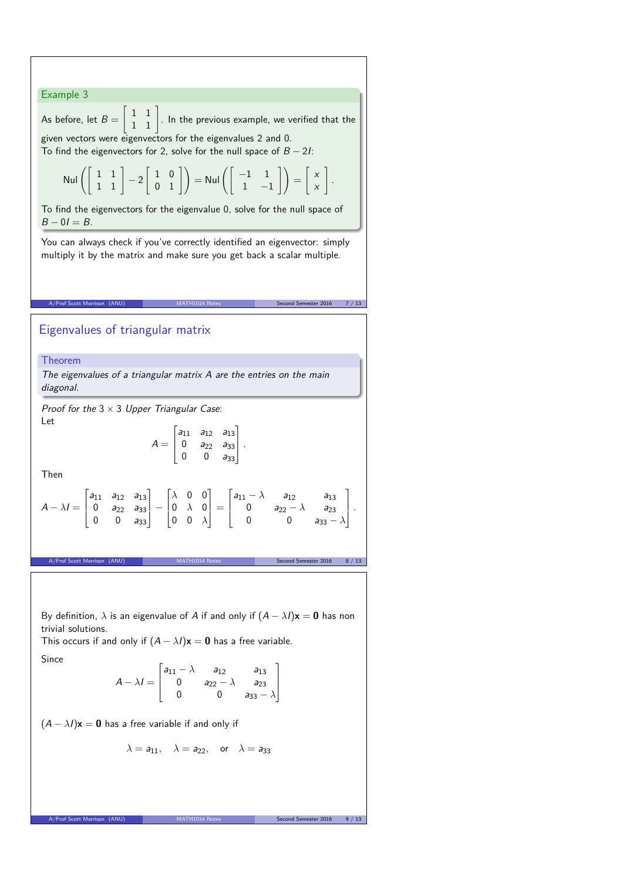

Since

$$
A - \lambda I = \begin{bmatrix} a_{11} - \lambda & a_{12} & a_{13} \\ 0 & a_{22} - \lambda & a_{23} \\ 0 & 0 & a_{33} - \lambda \end{bmatrix}
$$

 $(A - \lambda I)\mathbf{x} = \mathbf{0}$  has a free variable if and only if

$$
\lambda = a_{11}, \quad \lambda = a_{22}, \quad \text{or} \quad \lambda = a_{33}
$$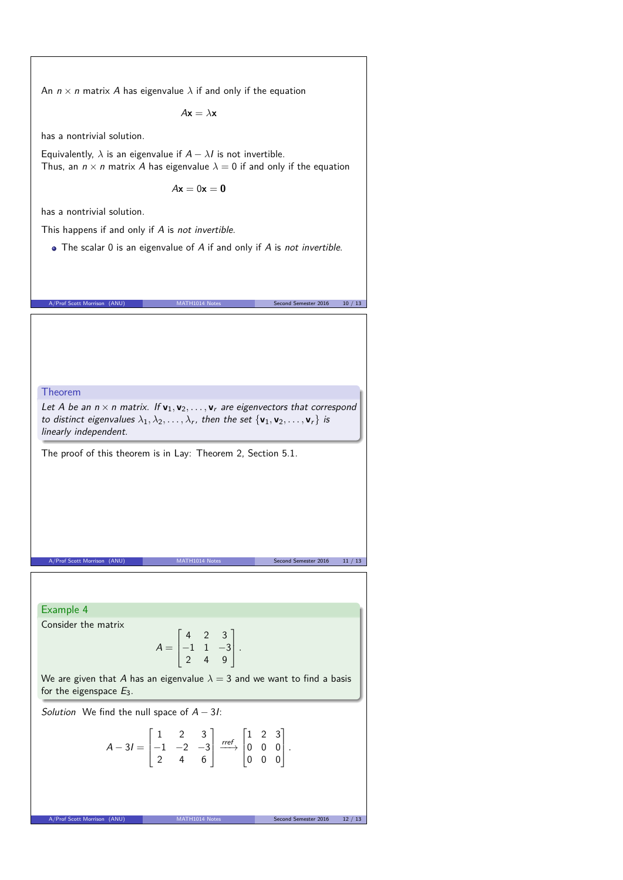An  $n \times n$  matrix A has eigenvalue  $\lambda$  if and only if the equation

 $A$ **x** =  $\lambda$ **x** 

has a nontrivial solution.

Equivalently,  $\lambda$  is an eigenvalue if  $A - \lambda I$  is not invertible. Thus, an  $n \times n$  matrix A has eigenvalue  $\lambda = 0$  if and only if the equation

 $A**x** = 0**x** = **0**$ 

has a nontrivial solution.

This happens if and only if A is not invertible.

• The scalar 0 is an eigenvalue of A if and only if A is not invertible.

A/Prof Scott Morrison (ANU) MATH1014 Notes Second Semester 2016 10 / 13

Theorem

Let A be an  $n \times n$  matrix. If  $v_1, v_2, \ldots, v_r$  are eigenvectors that correspond to distinct eigenvalues  $\lambda_1, \lambda_2, \ldots, \lambda_r$ , then the set  $\{v_1, v_2, \ldots, v_r\}$  is linearly independent.

The proof of this theorem is in Lay: Theorem 2, Section 5.1.

Example 4

Consider the matrix

$$
A = \begin{bmatrix} 4 & 2 & 3 \\ -1 & 1 & -3 \\ 2 & 4 & 9 \end{bmatrix}.
$$

A/Prof Scott Morrison (ANU) MATH1014 Notes Second Semester 2016 11 / 13

We are given that A has an eigenvalue  $\lambda = 3$  and we want to find a basis for the eigenspace  $E_3$ .

Solution We find the null space of  $A - 3I$ :

$$
A-3I = \begin{bmatrix} 1 & 2 & 3 \\ -1 & -2 & -3 \\ 2 & 4 & 6 \end{bmatrix} \xrightarrow{ref} \begin{bmatrix} 1 & 2 & 3 \\ 0 & 0 & 0 \\ 0 & 0 & 0 \end{bmatrix}.
$$

A/Prof Scott Morrison (ANU) MATH1014 Notes Second Semester 2016 12 / 13